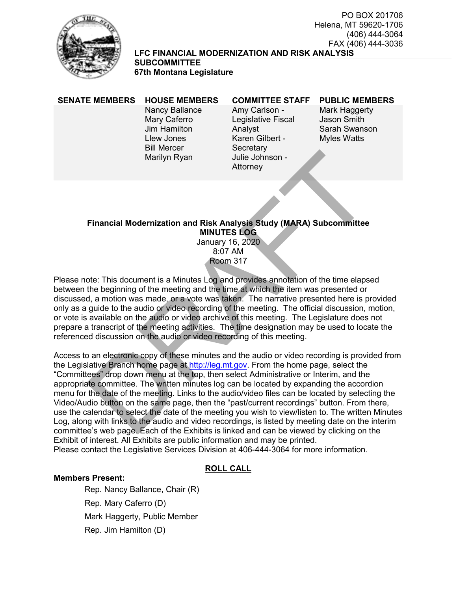

#### FAX (406) 444-3036 **LFC FINANCIAL MODERNIZATION AND RISK ANALYSIS**

Attorney

**SUBCOMMITTEE 67th Montana Legislature**

Nancy Ballance Mary Caferro Jim Hamilton Llew Jones Bill Mercer Marilyn Ryan

Amy Carlson - Legislative Fiscal Analyst Karen Gilbert - **Secretary** Julie Johnson -

#### **SENATE MEMBERS HOUSE MEMBERS COMMITTEE STAFF PUBLIC MEMBERS**

PO BOX 201706

(406) 444-3064

Helena, MT 59620-1706

Mark Haggerty Jason Smith Sarah Swanson Myles Watts

## **Financial Modernization and Risk Analysis Study (MARA) Subcommittee MINUTES LOG**

January 16, 2020 8:07 AM Room 317

Please note: This document is a Minutes Log and provides annotation of the time elapsed between the beginning of the meeting and the time at which the item was presented or discussed, a motion was made, or a vote was taken. The narrative presented here is provided only as a guide to the audio or video recording of the meeting. The official discussion, motion, or vote is available on the audio or video archive of this meeting. The Legislature does not prepare a transcript of the meeting activities. The time designation may be used to locate the referenced discussion on the audio or video recording of this meeting.

Access to an electronic copy of these minutes and the audio or video recording is provided from the Legislative Branch home page at http://leg.mt.gov. From the home page, select the "Committees" drop down menu at the top, then select Administrative or Interim, and the appropriate committee. The written minutes log can be located by expanding the accordion menu for the date of the meeting. Links to the audio/video files can be located by selecting the Video/Audio button on the same page, then the "past/current recordings" button. From there, use the calendar to select the date of the meeting you wish to view/listen to. The written Minutes Log, along with links to the audio and video recordings, is listed by meeting date on the interim committee's web page. Each of the Exhibits is linked and can be viewed by clicking on the Exhibit of interest. All Exhibits are public information and may be printed. Please contact the Legislative Services Division at 406-444-3064 for more information. Marilyn [R](https://leg.mt.gov/)yan<br>
Marilyn Ryan<br>
Julie Johnson -<br>
Attorney<br>
MINUTES LOG<br>
January 16, 2020<br>
January 16, 2020<br>
Boom 317<br>
Boom 317<br>
Boom 317<br>
Boom 317<br>
Boom 317<br>
Boom 317<br>
Boom 317<br>
Due 3.07 AM<br>
Room 317<br>
Boom 317<br>
Due 3.07 AM<br>
Ro

## **ROLL CALL**

#### **Members Present:**

Rep. Nancy Ballance, Chair (R) Rep. Mary Caferro (D) Mark Haggerty, Public Member Rep. Jim Hamilton (D)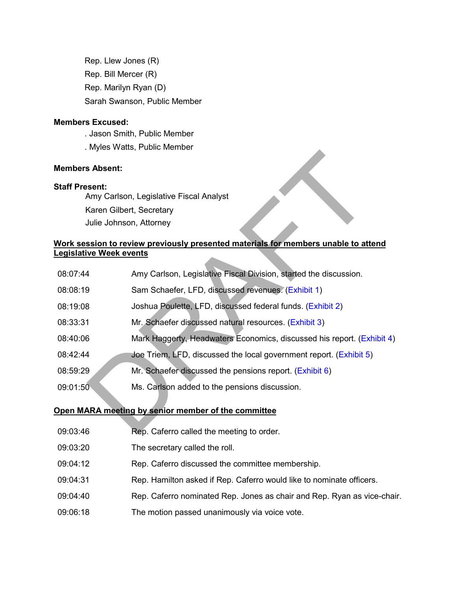Rep. Llew Jones (R) Rep. Bill Mercer (R) Rep. Marilyn Ryan (D) Sarah Swanson, Public Member

#### **Members Excused:**

- . Jason Smith, Public Member
- . Myles Watts, Public Member

## **Members Absent:**

#### **Staff Present:**

## **Work session to review previously presented materials for members unable to attend Legislative Week events**

| Members Absent:               |                                                                                           |
|-------------------------------|-------------------------------------------------------------------------------------------|
| <b>Staff Present:</b>         |                                                                                           |
|                               | Amy Carlson, Legislative Fiscal Analyst                                                   |
|                               | Karen Gilbert, Secretary                                                                  |
|                               | Julie Johnson, Attorney                                                                   |
|                               | <u>Nork session to review previously presented materials for members unable to attend</u> |
| <u>egislative Week events</u> |                                                                                           |
| 08:07:44                      | Amy Carlson, Legislative Fiscal Division, started the discussion.                         |
| 08:08:19                      | Sam Schaefer, LFD, discussed revenues. (Exhibit 1)                                        |
| 08:19:08                      | Joshua Poulette, LFD, discussed federal funds. (Exhibit 2)                                |
| 08:33:31                      | Mr. Schaefer discussed natural resources. (Exhibit 3)                                     |
| 08:40:06                      | Mark Haggerty, Headwaters Economics, discussed his report. (Exhibit 4)                    |
| 08:42:44                      | Joe Triem, LFD, discussed the local government report. (Exhibit 5)                        |
| 08:59:29                      | Mr. Schaefer discussed the pensions report. (Exhibit 6)                                   |
| 09:01:50                      | Ms. Carlson added to the pensions discussion.                                             |
|                               | Open MARA meeting by senior member of the committee                                       |
| 09:03:46                      | Rep. Caferro called the meeting to order.                                                 |

## **Open MARA meeting by senior member of the committee**

- 09:03:46 Rep. Caferro called the meeting to order.
- 09:03:20 The secretary called the roll.
- 09:04:12 Rep. Caferro discussed the committee membership.
- 09:04:31 Rep. Hamilton asked if Rep. Caferro would like to nominate officers.
- 09:04:40 Rep. Caferro nominated Rep. Jones as chair and Rep. Ryan as vice-chair.
- 09:06:18 The motion passed unanimously via voice vote.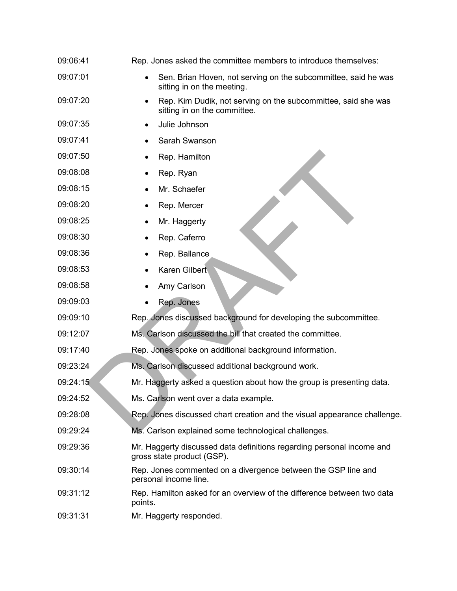| 09:06:41 | Rep. Jones asked the committee members to introduce themselves:                                     |
|----------|-----------------------------------------------------------------------------------------------------|
| 09:07:01 | Sen. Brian Hoven, not serving on the subcommittee, said he was<br>sitting in on the meeting.        |
| 09:07:20 | Rep. Kim Dudik, not serving on the subcommittee, said she was<br>sitting in on the committee.       |
| 09:07:35 | Julie Johnson                                                                                       |
| 09:07:41 | Sarah Swanson                                                                                       |
| 09:07:50 | Rep. Hamilton                                                                                       |
| 09:08:08 | Rep. Ryan                                                                                           |
| 09:08:15 | Mr. Schaefer                                                                                        |
| 09:08:20 | Rep. Mercer                                                                                         |
| 09:08:25 | Mr. Haggerty                                                                                        |
| 09:08:30 | Rep. Caferro                                                                                        |
| 09:08:36 | Rep. Ballance                                                                                       |
| 09:08:53 | Karen Gilbert                                                                                       |
| 09:08:58 | Amy Carlson                                                                                         |
| 09:09:03 | Rep. Jones                                                                                          |
| 09:09:10 | Rep. Jones discussed background for developing the subcommittee.                                    |
| 09:12:07 | Ms. Carlson discussed the bill that created the committee.                                          |
| 09:17:40 | Rep. Jones spoke on additional background information.                                              |
| 09:23:24 | Ms. Carlson discussed additional background work.                                                   |
| 09:24:15 | Mr. Haggerty asked a question about how the group is presenting data.                               |
| 09:24:52 | Ms. Carlson went over a data example.                                                               |
| 09:28:08 | Rep. Jones discussed chart creation and the visual appearance challenge.                            |
| 09:29:24 | Ms. Carlson explained some technological challenges.                                                |
| 09:29:36 | Mr. Haggerty discussed data definitions regarding personal income and<br>gross state product (GSP). |
| 09:30:14 | Rep. Jones commented on a divergence between the GSP line and<br>personal income line.              |
| 09:31:12 | Rep. Hamilton asked for an overview of the difference between two data<br>points.                   |
| 09:31:31 | Mr. Haggerty responded.                                                                             |
|          |                                                                                                     |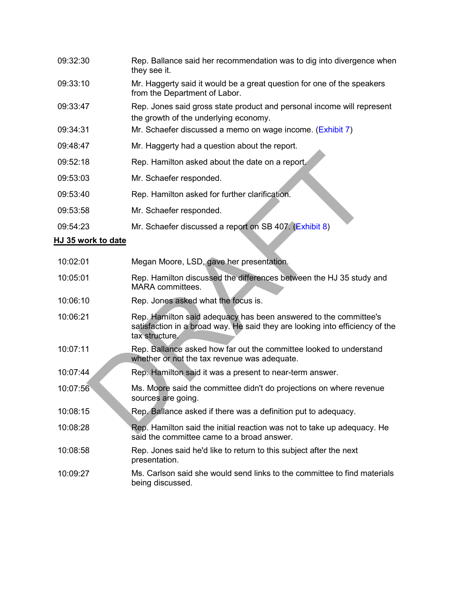| 09:32:30 | Rep. Ballance said her recommendation was to dig into divergence when<br>they see it.                           |
|----------|-----------------------------------------------------------------------------------------------------------------|
| 09:33:10 | Mr. Haggerty said it would be a great question for one of the speakers<br>from the Department of Labor.         |
| 09:33:47 | Rep. Jones said gross state product and personal income will represent<br>the growth of the underlying economy. |
| 09:34:31 | Mr. Schaefer discussed a memo on wage income. (Exhibit 7)                                                       |
| 09:48:47 | Mr. Haggerty had a question about the report.                                                                   |
| 09:52:18 | Rep. Hamilton asked about the date on a report.                                                                 |
| 09:53:03 | Mr. Schaefer responded.                                                                                         |
| 09:53:40 | Rep. Hamilton asked for further clarification.                                                                  |
| 09:53:58 | Mr. Schaefer responded.                                                                                         |
| 09:54:23 | Mr. Schaefer discussed a report on SB 407. (Exhibit 8)                                                          |

## **HJ 35 work to date**

| 09:52:18                  | Rep. Hamilton asked about the date on a report.                                                                                                                    |
|---------------------------|--------------------------------------------------------------------------------------------------------------------------------------------------------------------|
| 09:53:03                  | Mr. Schaefer responded.                                                                                                                                            |
| 09:53:40                  | Rep. Hamilton asked for further clarification.                                                                                                                     |
| 09:53:58                  | Mr. Schaefer responded.                                                                                                                                            |
| 09:54:23                  | Mr. Schaefer discussed a report on SB 407. (Exhibit 8)                                                                                                             |
| <u>IJ 35 work to date</u> |                                                                                                                                                                    |
| 10:02:01                  | Megan Moore, LSD, gave her presentation.                                                                                                                           |
| 10:05:01                  | Rep. Hamilton discussed the differences between the HJ 35 study and<br><b>MARA</b> committees.                                                                     |
| 10:06:10                  | Rep. Jones asked what the focus is.                                                                                                                                |
| 10:06:21                  | Rep. Hamilton said adequacy has been answered to the committee's<br>satisfaction in a broad way. He said they are looking into efficiency of the<br>tax structure. |
| 10:07:11                  | Rep. Ballance asked how far out the committee looked to understand<br>whether or not the tax revenue was adequate.                                                 |
| 10:07:44                  | Rep. Hamilton said it was a present to near-term answer.                                                                                                           |
| 10:07:56                  | Ms. Moore said the committee didn't do projections on where revenue<br>sources are going.                                                                          |
| 10:08:15                  | Rep. Ballance asked if there was a definition put to adequacy.                                                                                                     |
| 10:08:28                  | Rep. Hamilton said the initial reaction was not to take up adequacy. He<br>said the committee came to a broad answer.                                              |
| 10:08:58                  | Rep. Jones said he'd like to return to this subject after the next<br>presentation.                                                                                |
| 10:09:27                  | Ms. Carlson said she would send links to the committee to find materials<br>being discussed.                                                                       |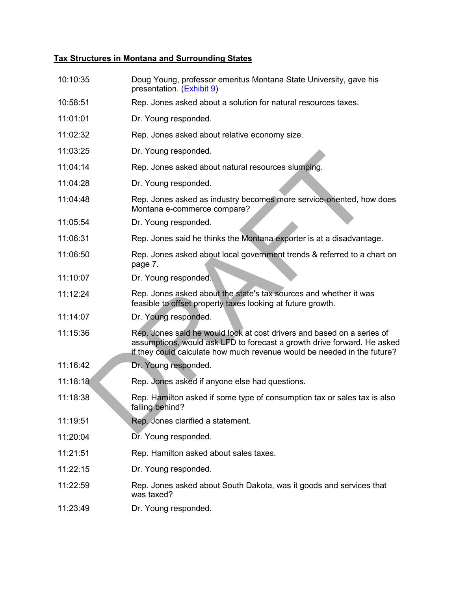## **Tax Structures in Montana and Surrounding States**

| 10:10:35 | Doug Young, professor emeritus Montana State University, gave his<br>presentation. (Exhibit 9)                                                                                                                               |
|----------|------------------------------------------------------------------------------------------------------------------------------------------------------------------------------------------------------------------------------|
| 10:58:51 | Rep. Jones asked about a solution for natural resources taxes.                                                                                                                                                               |
| 11:01:01 | Dr. Young responded.                                                                                                                                                                                                         |
| 11:02:32 | Rep. Jones asked about relative economy size.                                                                                                                                                                                |
| 11:03:25 | Dr. Young responded.                                                                                                                                                                                                         |
| 11:04:14 | Rep. Jones asked about natural resources slumping.                                                                                                                                                                           |
| 11:04:28 | Dr. Young responded.                                                                                                                                                                                                         |
| 11:04:48 | Rep. Jones asked as industry becomes more service-oriented, how does<br>Montana e-commerce compare?                                                                                                                          |
| 11:05:54 | Dr. Young responded.                                                                                                                                                                                                         |
| 11:06:31 | Rep. Jones said he thinks the Montana exporter is at a disadvantage.                                                                                                                                                         |
| 11:06:50 | Rep. Jones asked about local government trends & referred to a chart on<br>page 7.                                                                                                                                           |
| 11:10:07 | Dr. Young responded.                                                                                                                                                                                                         |
| 11:12:24 | Rep. Jones asked about the state's tax sources and whether it was<br>feasible to offset property taxes looking at future growth.                                                                                             |
| 11:14:07 | Dr. Young responded.                                                                                                                                                                                                         |
| 11:15:36 | Rep. Jones said he would look at cost drivers and based on a series of<br>assumptions, would ask LFD to forecast a growth drive forward. He asked<br>if they could calculate how much revenue would be needed in the future? |
| 11:16:42 | Dr. Young responded.                                                                                                                                                                                                         |
| 11:18:18 | Rep. Jones asked if anyone else had questions.                                                                                                                                                                               |
| 11:18:38 | Rep. Hamilton asked if some type of consumption tax or sales tax is also<br>falling behind?                                                                                                                                  |
| 11:19:51 | Rep. Jones clarified a statement.                                                                                                                                                                                            |
| 11:20:04 | Dr. Young responded.                                                                                                                                                                                                         |
| 11:21:51 | Rep. Hamilton asked about sales taxes.                                                                                                                                                                                       |
| 11:22:15 | Dr. Young responded.                                                                                                                                                                                                         |
| 11:22:59 | Rep. Jones asked about South Dakota, was it goods and services that<br>was taxed?                                                                                                                                            |
| 11:23:49 | Dr. Young responded.                                                                                                                                                                                                         |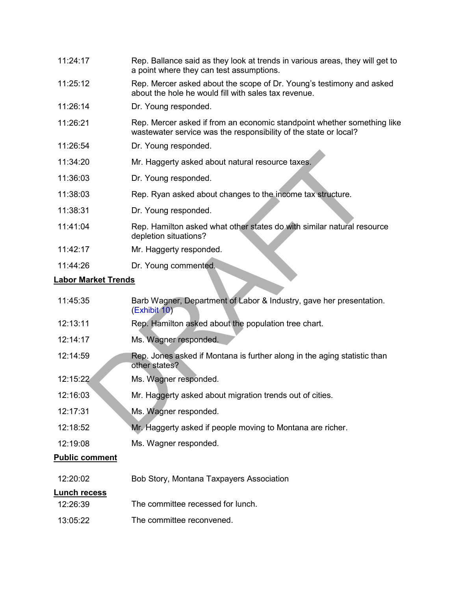| 11:24:17 | Rep. Ballance said as they look at trends in various areas, they will get to |
|----------|------------------------------------------------------------------------------|
|          | a point where they can test assumptions.                                     |

- 11:25:12 Rep. Mercer asked about the scope of Dr. Young's testimony and asked about the hole he would fill with sales tax revenue.
- 11:26:14 Dr. Young responded.
- 11:26:21 Rep. Mercer asked if from an economic standpoint whether something like wastewater service was the responsibility of the state or local?
- 11:26:54 Dr. Young responded.
- 11:34:20 Mr. Haggerty asked about natural resource taxes.
- 11:36:03 Dr. Young responded.
- 11:38:03 Rep. Ryan asked about changes to the income tax structure.
- 11:38:31 Dr. Young responded.
- 11:41:04 Rep. Hamilton asked what other states do with similar natural resource depletion situations?
- 11:42:17 Mr. Haggerty responded.
- 11:44:26 Dr. Young commented.

#### **Labor Market Trends**

| 11:34:20                   | Mr. Haggerty asked about natural resource taxes.                                                |
|----------------------------|-------------------------------------------------------------------------------------------------|
| 11:36:03                   | Dr. Young responded.                                                                            |
| 11:38:03                   | Rep. Ryan asked about changes to the income tax structure.                                      |
| 11:38:31                   | Dr. Young responded.                                                                            |
| 11:41:04                   | Rep. Hamilton asked what other states do with similar natural resource<br>depletion situations? |
| 11:42:17                   | Mr. Haggerty responded.                                                                         |
| 11:44:26                   | Dr. Young commented.                                                                            |
| <b>Labor Market Trends</b> |                                                                                                 |
| 11:45:35                   | Barb Wagner, Department of Labor & Industry, gave her presentation.<br>(Exhibit 10)             |
| 12:13:11                   | Rep. Hamilton asked about the population tree chart.                                            |
| 12:14:17                   | Ms. Wagner responded.                                                                           |
| 12:14:59                   | Rep. Jones asked if Montana is further along in the aging statistic than<br>other states?       |
| 12:15:22                   | Ms. Wagner responded.                                                                           |
| 12:16:03                   | Mr. Haggerty asked about migration trends out of cities.                                        |
| 12:17:31                   | Ms. Wagner responded.                                                                           |
| 12:18:52                   | Mr. Haggerty asked if people moving to Montana are richer.                                      |
| 12:19:08                   | Ms. Wagner responded.                                                                           |
| <b>Public comment</b>      |                                                                                                 |
| 12:20:02                   | Bob Story, Montana Taxpayers Association                                                        |
| <b>Lunch recess</b>        |                                                                                                 |
| 12:26:39                   | The committee recessed for lunch.                                                               |
| 13:05:22                   | The committee reconvened.                                                                       |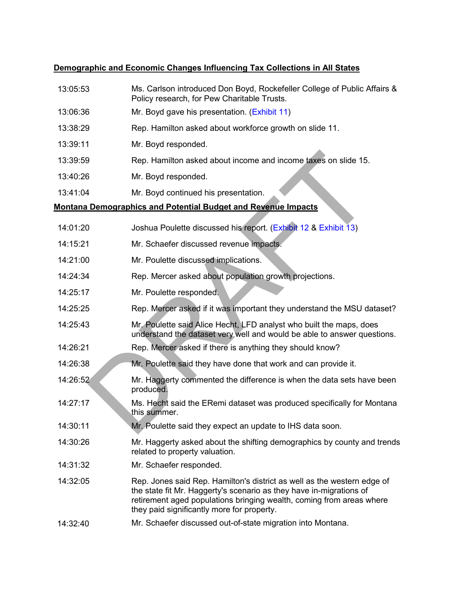# **Demographic and Economic Changes Influencing Tax Collections in All States**

| 13:05:53 | Ms. Carlson introduced Don Boyd, Rockefeller College of Public Affairs &<br>Policy research, for Pew Charitable Trusts.                                                                                                                                              |
|----------|----------------------------------------------------------------------------------------------------------------------------------------------------------------------------------------------------------------------------------------------------------------------|
| 13:06:36 | Mr. Boyd gave his presentation. (Exhibit 11)                                                                                                                                                                                                                         |
| 13:38:29 | Rep. Hamilton asked about workforce growth on slide 11.                                                                                                                                                                                                              |
| 13:39:11 | Mr. Boyd responded.                                                                                                                                                                                                                                                  |
| 13:39:59 | Rep. Hamilton asked about income and income taxes on slide 15.                                                                                                                                                                                                       |
| 13:40:26 | Mr. Boyd responded.                                                                                                                                                                                                                                                  |
| 13:41:04 | Mr. Boyd continued his presentation.                                                                                                                                                                                                                                 |
|          | <b>Montana Demographics and Potential Budget and Revenue Impacts</b>                                                                                                                                                                                                 |
| 14:01:20 | Joshua Poulette discussed his report. (Exhibit 12 & Exhibit 13)                                                                                                                                                                                                      |
| 14:15:21 | Mr. Schaefer discussed revenue impacts.                                                                                                                                                                                                                              |
| 14:21:00 | Mr. Poulette discussed implications.                                                                                                                                                                                                                                 |
| 14:24:34 | Rep. Mercer asked about population growth projections.                                                                                                                                                                                                               |
| 14:25:17 | Mr. Poulette responded.                                                                                                                                                                                                                                              |
| 14:25:25 | Rep. Mercer asked if it was important they understand the MSU dataset?                                                                                                                                                                                               |
| 14:25:43 | Mr. Poulette said Alice Hecht, LFD analyst who built the maps, does<br>understand the dataset very well and would be able to answer questions.                                                                                                                       |
| 14:26:21 | Rep. Mercer asked if there is anything they should know?                                                                                                                                                                                                             |
| 14:26:38 | Mr. Poulette said they have done that work and can provide it.                                                                                                                                                                                                       |
| 14:26:52 | Mr. Haggerty commented the difference is when the data sets have been<br>produced.                                                                                                                                                                                   |
| 14:27:17 | Ms. Hecht said the ERemi dataset was produced specifically for Montana<br>this summer.                                                                                                                                                                               |
| 14:30:11 | Mr. Poulette said they expect an update to IHS data soon.                                                                                                                                                                                                            |
| 14:30:26 | Mr. Haggerty asked about the shifting demographics by county and trends<br>related to property valuation.                                                                                                                                                            |
| 14:31:32 | Mr. Schaefer responded.                                                                                                                                                                                                                                              |
| 14:32:05 | Rep. Jones said Rep. Hamilton's district as well as the western edge of<br>the state fit Mr. Haggerty's scenario as they have in-migrations of<br>retirement aged populations bringing wealth, coming from areas where<br>they paid significantly more for property. |
| 14:32:40 | Mr. Schaefer discussed out-of-state migration into Montana.                                                                                                                                                                                                          |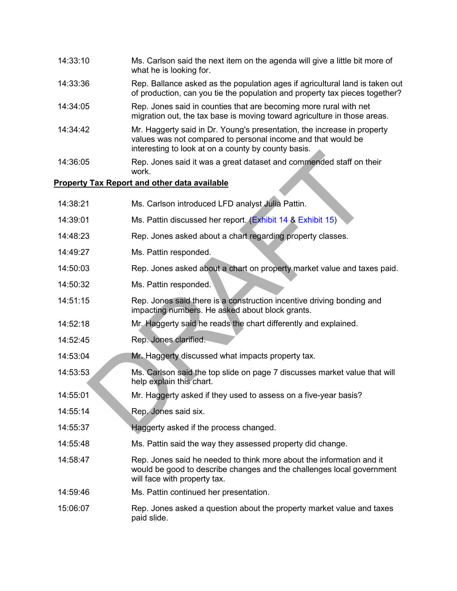| 14:33:10 | Ms. Carlson said the next item on the agenda will give a little bit more of<br>what he is looking for.                                                                                         |
|----------|------------------------------------------------------------------------------------------------------------------------------------------------------------------------------------------------|
| 14:33:36 | Rep. Ballance asked as the population ages if agricultural land is taken out<br>of production, can you tie the population and property tax pieces together?                                    |
| 14:34:05 | Rep. Jones said in counties that are becoming more rural with net<br>migration out, the tax base is moving toward agriculture in those areas.                                                  |
| 14:34:42 | Mr. Haggerty said in Dr. Young's presentation, the increase in property<br>values was not compared to personal income and that would be<br>interesting to look at on a county by county basis. |
| 14:36:05 | Rep. Jones said it was a great dataset and commended staff on their<br>work.                                                                                                                   |
|          | <b>Property Tax Report and other data available</b>                                                                                                                                            |
| 14:38:21 | Ms. Carlson introduced LFD analyst Julia Pattin.                                                                                                                                               |
| 14:39:01 | Ms. Pattin discussed her report. (Exhibit 14 & Exhibit 15)                                                                                                                                     |
| 14:48:23 | Rep. Jones asked about a chart regarding property classes.                                                                                                                                     |
| 14:49:27 | Ms. Pattin responded.                                                                                                                                                                          |
| 14:50:03 | Rep. Jones asked about a chart on property market value and taxes paid.                                                                                                                        |
| 14:50:32 | Ms. Pattin responded.                                                                                                                                                                          |
| 14:51:15 | Rep. Jones said there is a construction incentive driving bonding and<br>impacting numbers. He asked about block grants.                                                                       |
| 14:52:18 | Mr. Haggerty said he reads the chart differently and explained.                                                                                                                                |
| 14:52:45 | Rep. Jones clarified.                                                                                                                                                                          |
| 14:53:04 | Mr. Haggerty discussed what impacts property tax.                                                                                                                                              |
| 14:53:53 | Ms. Carlson said the top slide on page 7 discusses market value that will<br>help explain this chart.                                                                                          |
| 14:55:01 | Mr. Haggerty asked if they used to assess on a five-year basis?                                                                                                                                |
| 14:55:14 | Rep. Jones said six.                                                                                                                                                                           |
| 14:55:37 | Haggerty asked if the process changed.                                                                                                                                                         |
| 14:55:48 | Ms. Pattin said the way they assessed property did change.                                                                                                                                     |
| 14:58:47 | Rep. Jones said he needed to think more about the information and it<br>would be good to describe changes and the challenges local government<br>will face with property tax.                  |
| 14:59:46 | Ms. Pattin continued her presentation.                                                                                                                                                         |
|          |                                                                                                                                                                                                |

15:06:07 Rep. Jones asked a question about the property market value and taxes paid slide.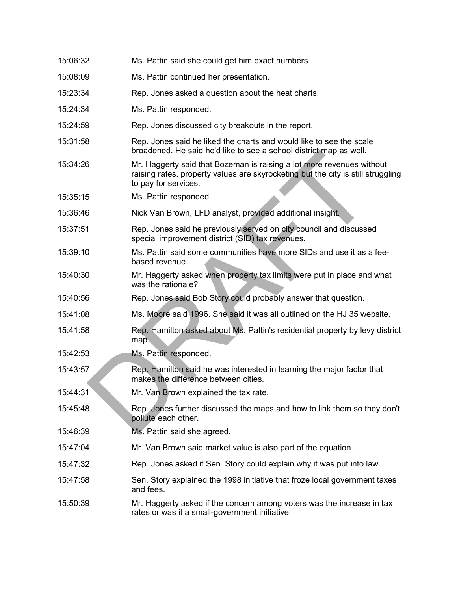| 15:06:32 | Ms. Pattin said she could get him exact numbers.                                                                                                                                  |
|----------|-----------------------------------------------------------------------------------------------------------------------------------------------------------------------------------|
| 15:08:09 | Ms. Pattin continued her presentation.                                                                                                                                            |
| 15:23:34 | Rep. Jones asked a question about the heat charts.                                                                                                                                |
| 15:24:34 | Ms. Pattin responded.                                                                                                                                                             |
| 15:24:59 | Rep. Jones discussed city breakouts in the report.                                                                                                                                |
| 15:31:58 | Rep. Jones said he liked the charts and would like to see the scale<br>broadened. He said he'd like to see a school district map as well.                                         |
| 15:34:26 | Mr. Haggerty said that Bozeman is raising a lot more revenues without<br>raising rates, property values are skyrocketing but the city is still struggling<br>to pay for services. |
| 15:35:15 | Ms. Pattin responded.                                                                                                                                                             |
| 15:36:46 | Nick Van Brown, LFD analyst, provided additional insight.                                                                                                                         |
| 15:37:51 | Rep. Jones said he previously served on city council and discussed<br>special improvement district (SID) tax revenues.                                                            |
| 15:39:10 | Ms. Pattin said some communities have more SIDs and use it as a fee-<br>based revenue.                                                                                            |
| 15:40:30 | Mr. Haggerty asked when property tax limits were put in place and what<br>was the rationale?                                                                                      |
| 15:40:56 | Rep. Jones said Bob Story could probably answer that question.                                                                                                                    |
| 15:41:08 | Ms. Moore said 1996. She said it was all outlined on the HJ 35 website.                                                                                                           |
| 15:41:58 | Rep. Hamilton asked about Ms. Pattin's residential property by levy district<br>map.                                                                                              |
| 15:42:53 | Ms. Pattin responded.                                                                                                                                                             |
| 15:43:57 | Rep. Hamilton said he was interested in learning the major factor that<br>makes the difference between cities.                                                                    |
| 15:44:31 | Mr. Van Brown explained the tax rate.                                                                                                                                             |
| 15:45:48 | Rep. Jones further discussed the maps and how to link them so they don't<br>pollute each other.                                                                                   |
| 15:46:39 | Ms. Pattin said she agreed.                                                                                                                                                       |
| 15:47:04 | Mr. Van Brown said market value is also part of the equation.                                                                                                                     |
| 15:47:32 | Rep. Jones asked if Sen. Story could explain why it was put into law.                                                                                                             |
| 15:47:58 | Sen. Story explained the 1998 initiative that froze local government taxes<br>and fees.                                                                                           |
| 15:50:39 | Mr. Haggerty asked if the concern among voters was the increase in tax<br>rates or was it a small-government initiative.                                                          |